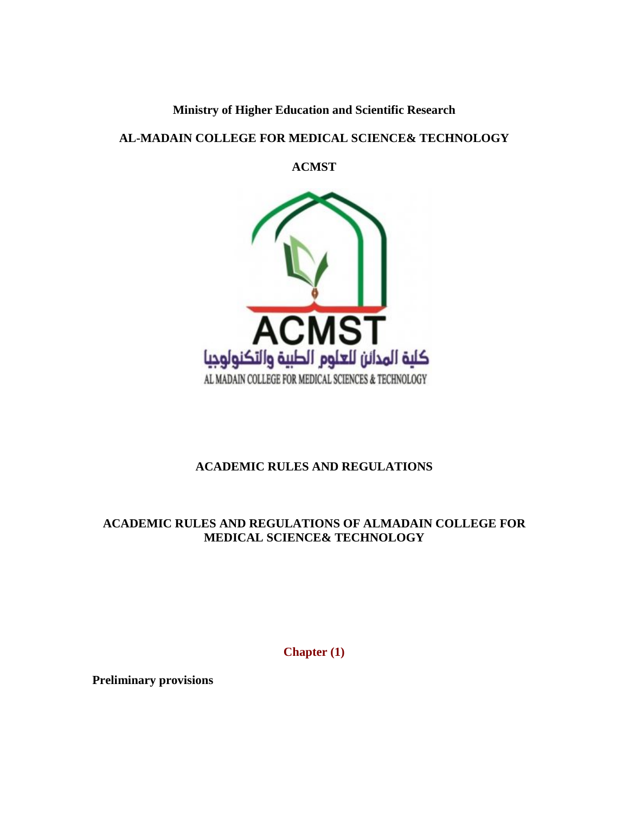# **Ministry of Higher Education and Scientific Research**

## **AL-MADAIN COLLEGE FOR MEDICAL SCIENCE& TECHNOLOGY**

**ACMST**



# **ACADEMIC RULES AND REGULATIONS**

# **ACADEMIC RULES AND REGULATIONS OF ALMADAIN COLLEGE FOR MEDICAL SCIENCE& TECHNOLOGY**

**Chapter (1)**

**Preliminary provisions**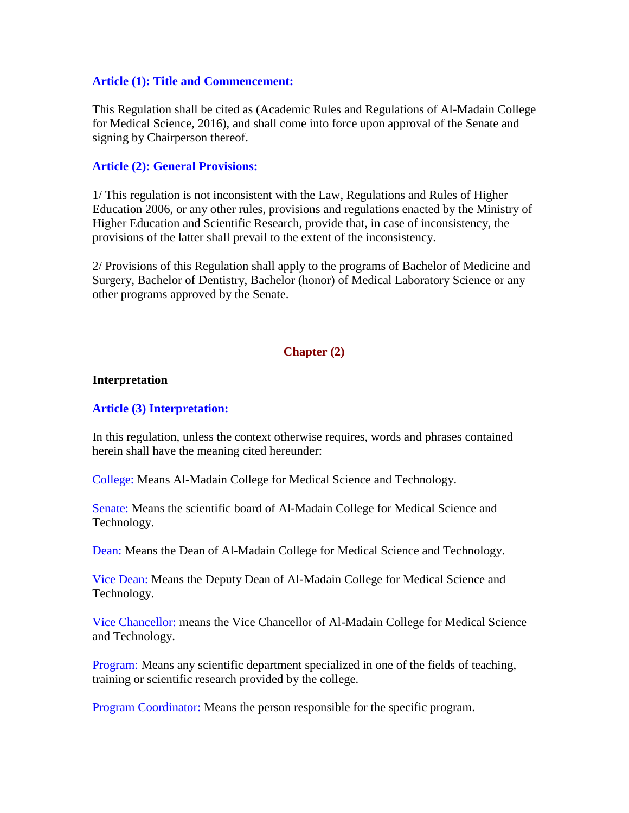#### **Article (1): Title and Commencement:**

This Regulation shall be cited as (Academic Rules and Regulations of Al-Madain College for Medical Science, 2016), and shall come into force upon approval of the Senate and signing by Chairperson thereof.

#### **Article (2): General Provisions:**

1/ This regulation is not inconsistent with the Law, Regulations and Rules of Higher Education 2006, or any other rules, provisions and regulations enacted by the Ministry of Higher Education and Scientific Research, provide that, in case of inconsistency, the provisions of the latter shall prevail to the extent of the inconsistency.

2/ Provisions of this Regulation shall apply to the programs of Bachelor of Medicine and Surgery, Bachelor of Dentistry, Bachelor (honor) of Medical Laboratory Science or any other programs approved by the Senate.

#### **Chapter (2)**

#### **Interpretation**

#### **Article (3) Interpretation:**

In this regulation, unless the context otherwise requires, words and phrases contained herein shall have the meaning cited hereunder:

College: Means Al-Madain College for Medical Science and Technology.

Senate: Means the scientific board of Al-Madain College for Medical Science and Technology.

Dean: Means the Dean of Al-Madain College for Medical Science and Technology.

Vice Dean: Means the Deputy Dean of Al-Madain College for Medical Science and Technology.

Vice Chancellor: means the Vice Chancellor of Al-Madain College for Medical Science and Technology.

Program: Means any scientific department specialized in one of the fields of teaching, training or scientific research provided by the college.

Program Coordinator: Means the person responsible for the specific program.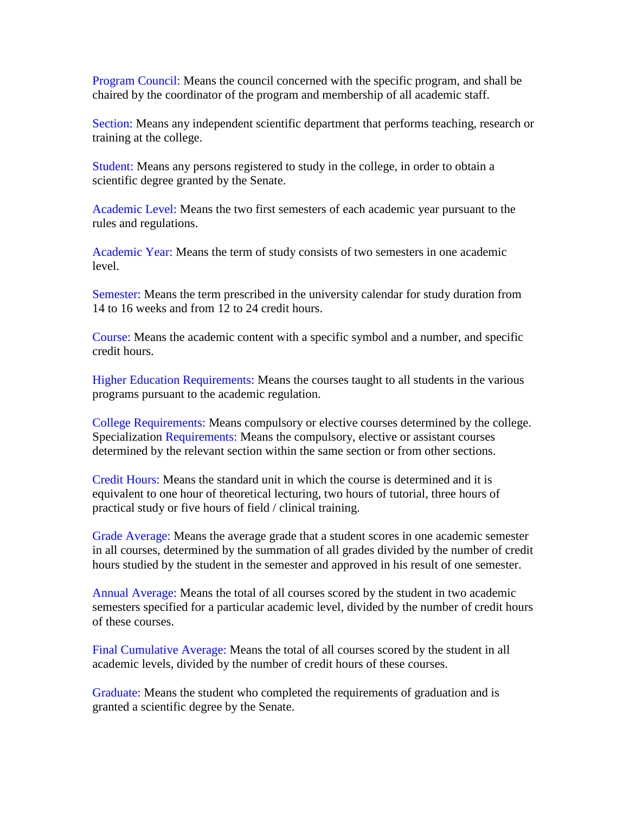Program Council: Means the council concerned with the specific program, and shall be chaired by the coordinator of the program and membership of all academic staff.

Section: Means any independent scientific department that performs teaching, research or training at the college.

Student: Means any persons registered to study in the college, in order to obtain a scientific degree granted by the Senate.

Academic Level: Means the two first semesters of each academic year pursuant to the rules and regulations.

Academic Year: Means the term of study consists of two semesters in one academic level.

Semester: Means the term prescribed in the university calendar for study duration from 14 to 16 weeks and from 12 to 24 credit hours.

Course: Means the academic content with a specific symbol and a number, and specific credit hours.

Higher Education Requirements: Means the courses taught to all students in the various programs pursuant to the academic regulation.

College Requirements: Means compulsory or elective courses determined by the college. Specialization Requirements: Means the compulsory, elective or assistant courses determined by the relevant section within the same section or from other sections.

Credit Hours: Means the standard unit in which the course is determined and it is equivalent to one hour of theoretical lecturing, two hours of tutorial, three hours of practical study or five hours of field / clinical training.

Grade Average: Means the average grade that a student scores in one academic semester in all courses, determined by the summation of all grades divided by the number of credit hours studied by the student in the semester and approved in his result of one semester.

Annual Average: Means the total of all courses scored by the student in two academic semesters specified for a particular academic level, divided by the number of credit hours of these courses.

Final Cumulative Average: Means the total of all courses scored by the student in all academic levels, divided by the number of credit hours of these courses.

Graduate: Means the student who completed the requirements of graduation and is granted a scientific degree by the Senate.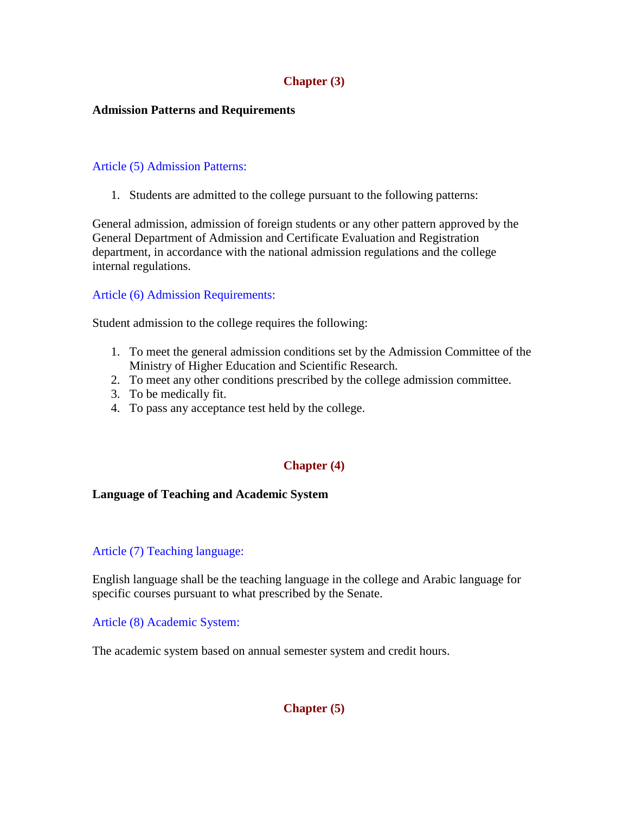## **Chapter (3)**

## **Admission Patterns and Requirements**

## Article (5) Admission Patterns:

1. Students are admitted to the college pursuant to the following patterns:

General admission, admission of foreign students or any other pattern approved by the General Department of Admission and Certificate Evaluation and Registration department, in accordance with the national admission regulations and the college internal regulations.

## Article (6) Admission Requirements:

Student admission to the college requires the following:

- 1. To meet the general admission conditions set by the Admission Committee of the Ministry of Higher Education and Scientific Research.
- 2. To meet any other conditions prescribed by the college admission committee.
- 3. To be medically fit.
- 4. To pass any acceptance test held by the college.

## **Chapter (4)**

#### **Language of Teaching and Academic System**

#### Article (7) Teaching language:

English language shall be the teaching language in the college and Arabic language for specific courses pursuant to what prescribed by the Senate.

Article (8) Academic System:

The academic system based on annual semester system and credit hours.

**Chapter (5)**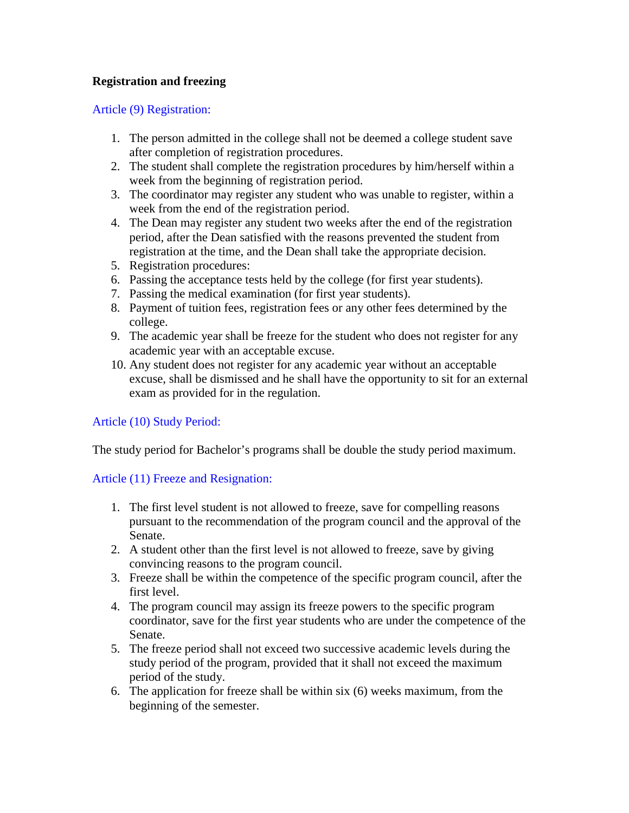## **Registration and freezing**

## Article (9) Registration:

- 1. The person admitted in the college shall not be deemed a college student save after completion of registration procedures.
- 2. The student shall complete the registration procedures by him/herself within a week from the beginning of registration period.
- 3. The coordinator may register any student who was unable to register, within a week from the end of the registration period.
- 4. The Dean may register any student two weeks after the end of the registration period, after the Dean satisfied with the reasons prevented the student from registration at the time, and the Dean shall take the appropriate decision.
- 5. Registration procedures:
- 6. Passing the acceptance tests held by the college (for first year students).
- 7. Passing the medical examination (for first year students).
- 8. Payment of tuition fees, registration fees or any other fees determined by the college.
- 9. The academic year shall be freeze for the student who does not register for any academic year with an acceptable excuse.
- 10. Any student does not register for any academic year without an acceptable excuse, shall be dismissed and he shall have the opportunity to sit for an external exam as provided for in the regulation.

Article (10) Study Period:

The study period for Bachelor's programs shall be double the study period maximum.

## Article (11) Freeze and Resignation:

- 1. The first level student is not allowed to freeze, save for compelling reasons pursuant to the recommendation of the program council and the approval of the Senate.
- 2. A student other than the first level is not allowed to freeze, save by giving convincing reasons to the program council.
- 3. Freeze shall be within the competence of the specific program council, after the first level.
- 4. The program council may assign its freeze powers to the specific program coordinator, save for the first year students who are under the competence of the Senate.
- 5. The freeze period shall not exceed two successive academic levels during the study period of the program, provided that it shall not exceed the maximum period of the study.
- 6. The application for freeze shall be within six (6) weeks maximum, from the beginning of the semester.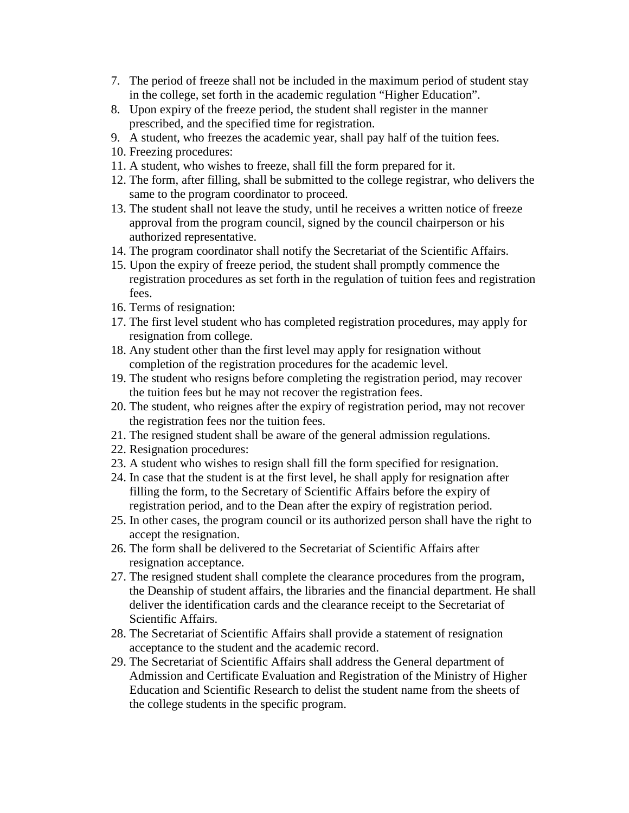- 7. The period of freeze shall not be included in the maximum period of student stay in the college, set forth in the academic regulation "Higher Education".
- 8. Upon expiry of the freeze period, the student shall register in the manner prescribed, and the specified time for registration.
- 9. A student, who freezes the academic year, shall pay half of the tuition fees.
- 10. Freezing procedures:
- 11. A student, who wishes to freeze, shall fill the form prepared for it.
- 12. The form, after filling, shall be submitted to the college registrar, who delivers the same to the program coordinator to proceed.
- 13. The student shall not leave the study, until he receives a written notice of freeze approval from the program council, signed by the council chairperson or his authorized representative.
- 14. The program coordinator shall notify the Secretariat of the Scientific Affairs.
- 15. Upon the expiry of freeze period, the student shall promptly commence the registration procedures as set forth in the regulation of tuition fees and registration fees.
- 16. Terms of resignation:
- 17. The first level student who has completed registration procedures, may apply for resignation from college.
- 18. Any student other than the first level may apply for resignation without completion of the registration procedures for the academic level.
- 19. The student who resigns before completing the registration period, may recover the tuition fees but he may not recover the registration fees.
- 20. The student, who reignes after the expiry of registration period, may not recover the registration fees nor the tuition fees.
- 21. The resigned student shall be aware of the general admission regulations.
- 22. Resignation procedures:
- 23. A student who wishes to resign shall fill the form specified for resignation.
- 24. In case that the student is at the first level, he shall apply for resignation after filling the form, to the Secretary of Scientific Affairs before the expiry of registration period, and to the Dean after the expiry of registration period.
- 25. In other cases, the program council or its authorized person shall have the right to accept the resignation.
- 26. The form shall be delivered to the Secretariat of Scientific Affairs after resignation acceptance.
- 27. The resigned student shall complete the clearance procedures from the program, the Deanship of student affairs, the libraries and the financial department. He shall deliver the identification cards and the clearance receipt to the Secretariat of Scientific Affairs.
- 28. The Secretariat of Scientific Affairs shall provide a statement of resignation acceptance to the student and the academic record.
- 29. The Secretariat of Scientific Affairs shall address the General department of Admission and Certificate Evaluation and Registration of the Ministry of Higher Education and Scientific Research to delist the student name from the sheets of the college students in the specific program.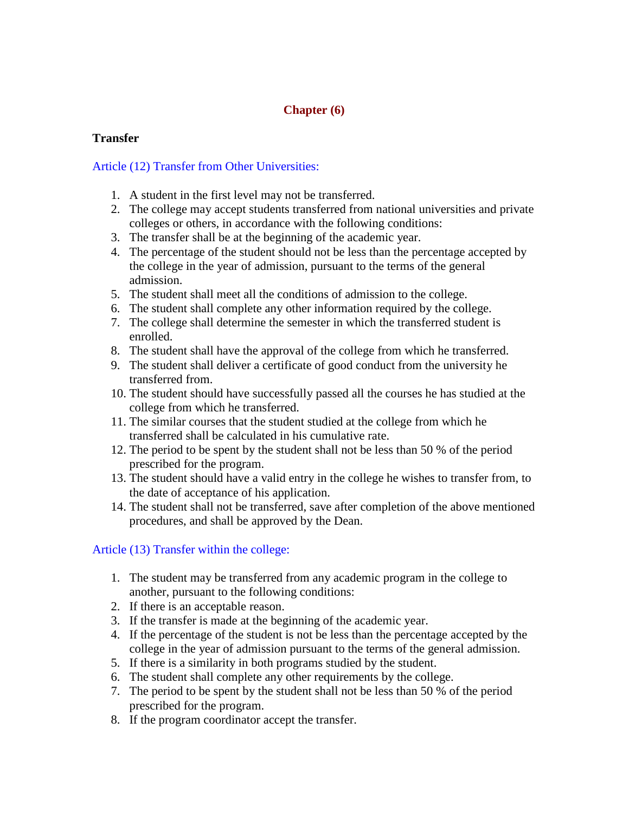## **Chapter (6)**

## **Transfer**

## Article (12) Transfer from Other Universities:

- 1. A student in the first level may not be transferred.
- 2. The college may accept students transferred from national universities and private colleges or others, in accordance with the following conditions:
- 3. The transfer shall be at the beginning of the academic year.
- 4. The percentage of the student should not be less than the percentage accepted by the college in the year of admission, pursuant to the terms of the general admission.
- 5. The student shall meet all the conditions of admission to the college.
- 6. The student shall complete any other information required by the college.
- 7. The college shall determine the semester in which the transferred student is enrolled.
- 8. The student shall have the approval of the college from which he transferred.
- 9. The student shall deliver a certificate of good conduct from the university he transferred from.
- 10. The student should have successfully passed all the courses he has studied at the college from which he transferred.
- 11. The similar courses that the student studied at the college from which he transferred shall be calculated in his cumulative rate.
- 12. The period to be spent by the student shall not be less than 50 % of the period prescribed for the program.
- 13. The student should have a valid entry in the college he wishes to transfer from, to the date of acceptance of his application.
- 14. The student shall not be transferred, save after completion of the above mentioned procedures, and shall be approved by the Dean.

## Article (13) Transfer within the college:

- 1. The student may be transferred from any academic program in the college to another, pursuant to the following conditions:
- 2. If there is an acceptable reason.
- 3. If the transfer is made at the beginning of the academic year.
- 4. If the percentage of the student is not be less than the percentage accepted by the college in the year of admission pursuant to the terms of the general admission.
- 5. If there is a similarity in both programs studied by the student.
- 6. The student shall complete any other requirements by the college.
- 7. The period to be spent by the student shall not be less than 50 % of the period prescribed for the program.
- 8. If the program coordinator accept the transfer.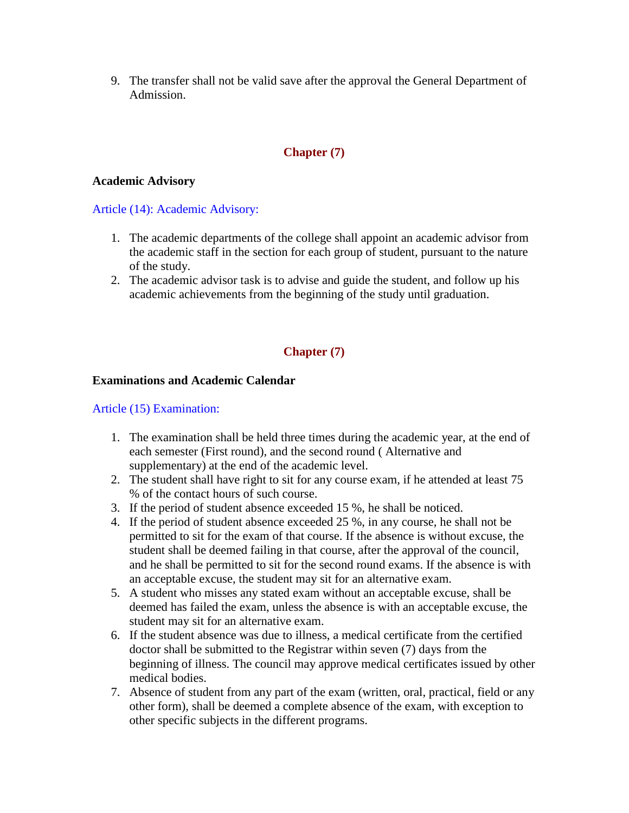9. The transfer shall not be valid save after the approval the General Department of Admission.

## **Chapter (7)**

## **Academic Advisory**

Article (14): Academic Advisory:

- 1. The academic departments of the college shall appoint an academic advisor from the academic staff in the section for each group of student, pursuant to the nature of the study.
- 2. The academic advisor task is to advise and guide the student, and follow up his academic achievements from the beginning of the study until graduation.

## **Chapter (7)**

## **Examinations and Academic Calendar**

## Article (15) Examination:

- 1. The examination shall be held three times during the academic year, at the end of each semester (First round), and the second round ( Alternative and supplementary) at the end of the academic level.
- 2. The student shall have right to sit for any course exam, if he attended at least 75 % of the contact hours of such course.
- 3. If the period of student absence exceeded 15 %, he shall be noticed.
- 4. If the period of student absence exceeded 25 %, in any course, he shall not be permitted to sit for the exam of that course. If the absence is without excuse, the student shall be deemed failing in that course, after the approval of the council, and he shall be permitted to sit for the second round exams. If the absence is with an acceptable excuse, the student may sit for an alternative exam.
- 5. A student who misses any stated exam without an acceptable excuse, shall be deemed has failed the exam, unless the absence is with an acceptable excuse, the student may sit for an alternative exam.
- 6. If the student absence was due to illness, a medical certificate from the certified doctor shall be submitted to the Registrar within seven (7) days from the beginning of illness. The council may approve medical certificates issued by other medical bodies.
- 7. Absence of student from any part of the exam (written, oral, practical, field or any other form), shall be deemed a complete absence of the exam, with exception to other specific subjects in the different programs.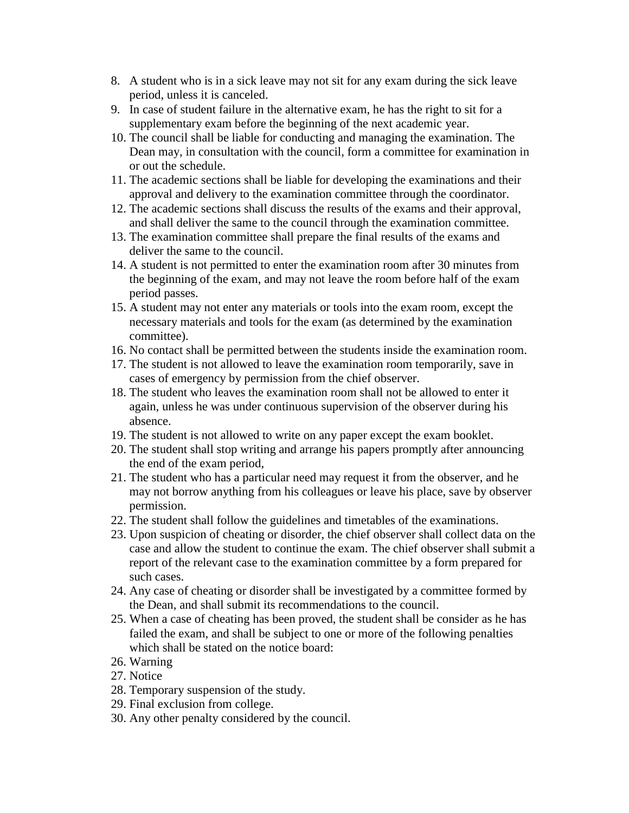- 8. A student who is in a sick leave may not sit for any exam during the sick leave period, unless it is canceled.
- 9. In case of student failure in the alternative exam, he has the right to sit for a supplementary exam before the beginning of the next academic year.
- 10. The council shall be liable for conducting and managing the examination. The Dean may, in consultation with the council, form a committee for examination in or out the schedule.
- 11. The academic sections shall be liable for developing the examinations and their approval and delivery to the examination committee through the coordinator.
- 12. The academic sections shall discuss the results of the exams and their approval, and shall deliver the same to the council through the examination committee.
- 13. The examination committee shall prepare the final results of the exams and deliver the same to the council.
- 14. A student is not permitted to enter the examination room after 30 minutes from the beginning of the exam, and may not leave the room before half of the exam period passes.
- 15. A student may not enter any materials or tools into the exam room, except the necessary materials and tools for the exam (as determined by the examination committee).
- 16. No contact shall be permitted between the students inside the examination room.
- 17. The student is not allowed to leave the examination room temporarily, save in cases of emergency by permission from the chief observer.
- 18. The student who leaves the examination room shall not be allowed to enter it again, unless he was under continuous supervision of the observer during his absence.
- 19. The student is not allowed to write on any paper except the exam booklet.
- 20. The student shall stop writing and arrange his papers promptly after announcing the end of the exam period,
- 21. The student who has a particular need may request it from the observer, and he may not borrow anything from his colleagues or leave his place, save by observer permission.
- 22. The student shall follow the guidelines and timetables of the examinations.
- 23. Upon suspicion of cheating or disorder, the chief observer shall collect data on the case and allow the student to continue the exam. The chief observer shall submit a report of the relevant case to the examination committee by a form prepared for such cases.
- 24. Any case of cheating or disorder shall be investigated by a committee formed by the Dean, and shall submit its recommendations to the council.
- 25. When a case of cheating has been proved, the student shall be consider as he has failed the exam, and shall be subject to one or more of the following penalties which shall be stated on the notice board:
- 26. Warning
- 27. Notice
- 28. Temporary suspension of the study.
- 29. Final exclusion from college.
- 30. Any other penalty considered by the council.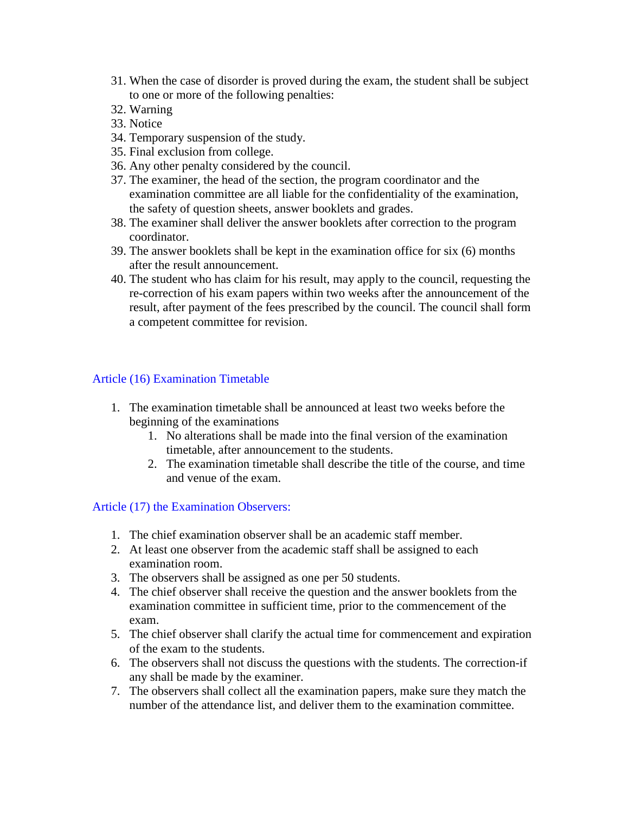- 31. When the case of disorder is proved during the exam, the student shall be subject to one or more of the following penalties:
- 32. Warning
- 33. Notice
- 34. Temporary suspension of the study.
- 35. Final exclusion from college.
- 36. Any other penalty considered by the council.
- 37. The examiner, the head of the section, the program coordinator and the examination committee are all liable for the confidentiality of the examination, the safety of question sheets, answer booklets and grades.
- 38. The examiner shall deliver the answer booklets after correction to the program coordinator.
- 39. The answer booklets shall be kept in the examination office for six (6) months after the result announcement.
- 40. The student who has claim for his result, may apply to the council, requesting the re-correction of his exam papers within two weeks after the announcement of the result, after payment of the fees prescribed by the council. The council shall form a competent committee for revision.

## Article (16) Examination Timetable

- 1. The examination timetable shall be announced at least two weeks before the beginning of the examinations
	- 1. No alterations shall be made into the final version of the examination timetable, after announcement to the students.
	- 2. The examination timetable shall describe the title of the course, and time and venue of the exam.

#### Article (17) the Examination Observers:

- 1. The chief examination observer shall be an academic staff member.
- 2. At least one observer from the academic staff shall be assigned to each examination room.
- 3. The observers shall be assigned as one per 50 students.
- 4. The chief observer shall receive the question and the answer booklets from the examination committee in sufficient time, prior to the commencement of the exam.
- 5. The chief observer shall clarify the actual time for commencement and expiration of the exam to the students.
- 6. The observers shall not discuss the questions with the students. The correction-if any shall be made by the examiner.
- 7. The observers shall collect all the examination papers, make sure they match the number of the attendance list, and deliver them to the examination committee.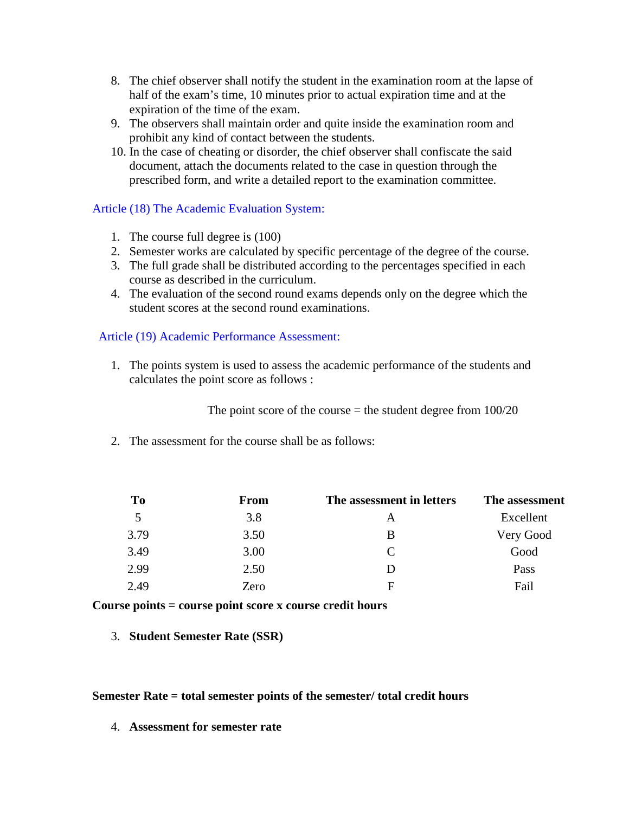- 8. The chief observer shall notify the student in the examination room at the lapse of half of the exam's time, 10 minutes prior to actual expiration time and at the expiration of the time of the exam.
- 9. The observers shall maintain order and quite inside the examination room and prohibit any kind of contact between the students.
- 10. In the case of cheating or disorder, the chief observer shall confiscate the said document, attach the documents related to the case in question through the prescribed form, and write a detailed report to the examination committee.

## Article (18) The Academic Evaluation System:

- 1. The course full degree is (100)
- 2. Semester works are calculated by specific percentage of the degree of the course.
- 3. The full grade shall be distributed according to the percentages specified in each course as described in the curriculum.
- 4. The evaluation of the second round exams depends only on the degree which the student scores at the second round examinations.

## Article (19) Academic Performance Assessment:

1. The points system is used to assess the academic performance of the students and calculates the point score as follows :

The point score of the course  $=$  the student degree from  $100/20$ 

2. The assessment for the course shall be as follows:

| To   | From | The assessment in letters   | The assessment |
|------|------|-----------------------------|----------------|
| 5    | 3.8  | A                           | Excellent      |
| 3.79 | 3.50 | B                           | Very Good      |
| 3.49 | 3.00 | $\mathcal{C}_{\mathcal{C}}$ | Good           |
| 2.99 | 2.50 |                             | Pass           |
| 2.49 | Zero | F                           | Fail           |

**Course points = course point score x course credit hours**

3. **Student Semester Rate (SSR)**

#### **Semester Rate = total semester points of the semester/ total credit hours**

4. **Assessment for semester rate**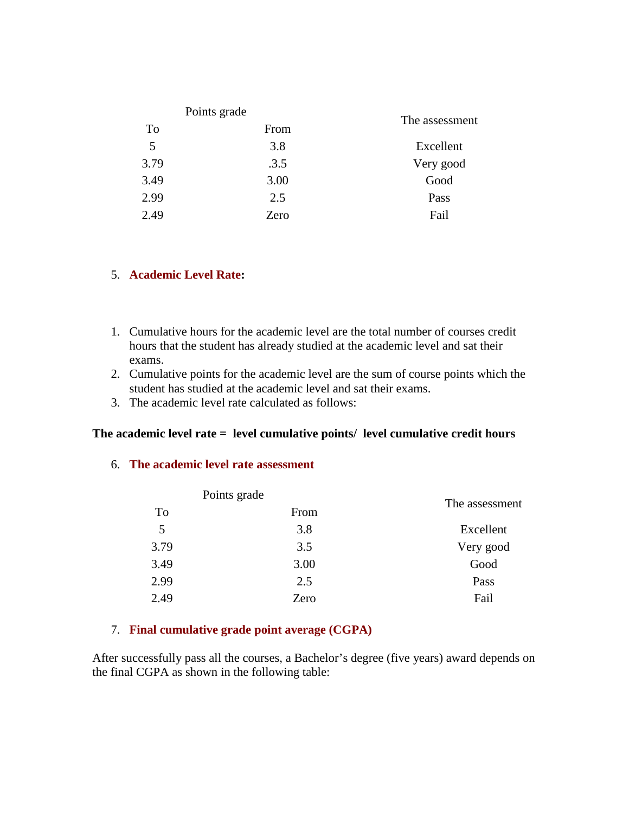|      | Points grade |                |  |
|------|--------------|----------------|--|
| To   | From         | The assessment |  |
| 5    | 3.8          | Excellent      |  |
| 3.79 | .3.5         | Very good      |  |
| 3.49 | 3.00         | Good           |  |
| 2.99 | 2.5          | Pass           |  |
| 2.49 | Zero         | Fail           |  |

#### 5. **Academic Level Rate:**

- 1. Cumulative hours for the academic level are the total number of courses credit hours that the student has already studied at the academic level and sat their exams.
- 2. Cumulative points for the academic level are the sum of course points which the student has studied at the academic level and sat their exams.
- 3. The academic level rate calculated as follows:

## **The academic level rate = level cumulative points/ level cumulative credit hours**

#### 6. **The academic level rate assessment**

|      | Points grade |                |
|------|--------------|----------------|
| To   | From         | The assessment |
| 5    | 3.8          | Excellent      |
| 3.79 | 3.5          | Very good      |
| 3.49 | 3.00         | Good           |
| 2.99 | 2.5          | Pass           |
| 2.49 | Zero         | Fail           |
|      |              |                |

## 7. **Final cumulative grade point average (CGPA)**

After successfully pass all the courses, a Bachelor's degree (five years) award depends on the final CGPA as shown in the following table: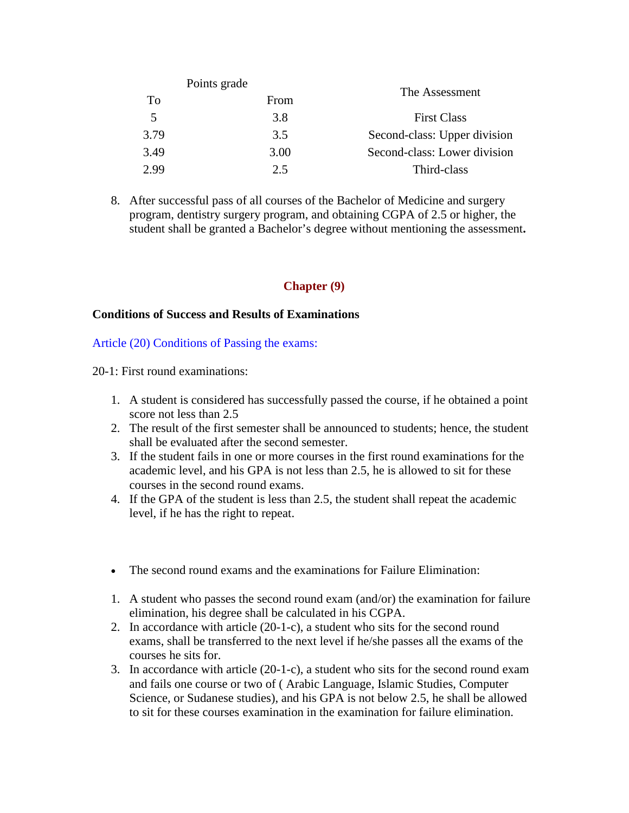| Points grade |      |                              |  |
|--------------|------|------------------------------|--|
| To           | From | The Assessment               |  |
| 5            | 3.8  | <b>First Class</b>           |  |
| 3.79         | 3.5  | Second-class: Upper division |  |
| 3.49         | 3.00 | Second-class: Lower division |  |
| 2.99         | 2.5  | Third-class                  |  |

8. After successful pass of all courses of the Bachelor of Medicine and surgery program, dentistry surgery program, and obtaining CGPA of 2.5 or higher, the student shall be granted a Bachelor's degree without mentioning the assessment**.**

## **Chapter (9)**

#### **Conditions of Success and Results of Examinations**

Article (20) Conditions of Passing the exams:

20-1: First round examinations:

- 1. A student is considered has successfully passed the course, if he obtained a point score not less than 2.5
- 2. The result of the first semester shall be announced to students; hence, the student shall be evaluated after the second semester.
- 3. If the student fails in one or more courses in the first round examinations for the academic level, and his GPA is not less than 2.5, he is allowed to sit for these courses in the second round exams.
- 4. If the GPA of the student is less than 2.5, the student shall repeat the academic level, if he has the right to repeat.
- The second round exams and the examinations for Failure Elimination:
- 1. A student who passes the second round exam (and/or) the examination for failure elimination, his degree shall be calculated in his CGPA.
- 2. In accordance with article (20-1-c), a student who sits for the second round exams, shall be transferred to the next level if he/she passes all the exams of the courses he sits for.
- 3. In accordance with article (20-1-c), a student who sits for the second round exam and fails one course or two of ( Arabic Language, Islamic Studies, Computer Science, or Sudanese studies), and his GPA is not below 2.5, he shall be allowed to sit for these courses examination in the examination for failure elimination.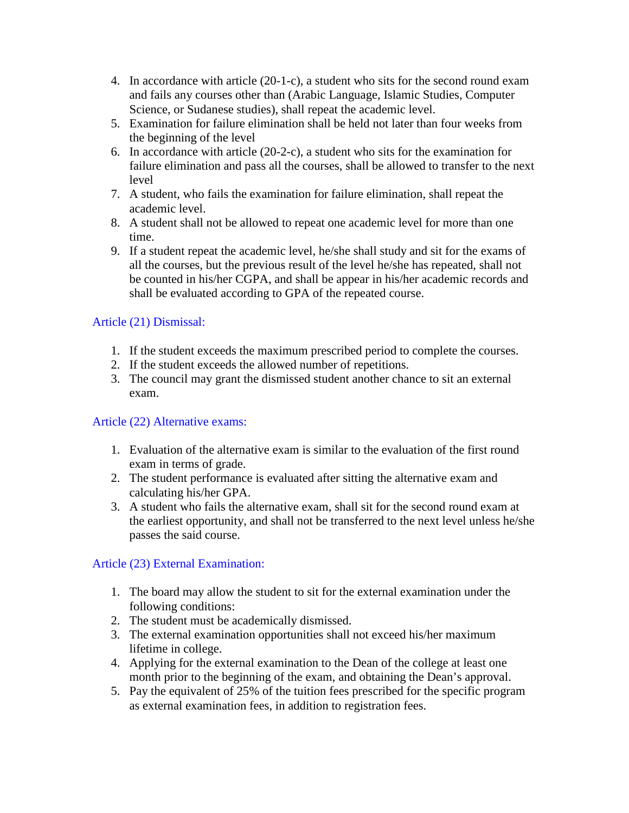- 4. In accordance with article (20-1-c), a student who sits for the second round exam and fails any courses other than (Arabic Language, Islamic Studies, Computer Science, or Sudanese studies), shall repeat the academic level.
- 5. Examination for failure elimination shall be held not later than four weeks from the beginning of the level
- 6. In accordance with article (20-2-c), a student who sits for the examination for failure elimination and pass all the courses, shall be allowed to transfer to the next level
- 7. A student, who fails the examination for failure elimination, shall repeat the academic level.
- 8. A student shall not be allowed to repeat one academic level for more than one time.
- 9. If a student repeat the academic level, he/she shall study and sit for the exams of all the courses, but the previous result of the level he/she has repeated, shall not be counted in his/her CGPA, and shall be appear in his/her academic records and shall be evaluated according to GPA of the repeated course.

# Article (21) Dismissal:

- 1. If the student exceeds the maximum prescribed period to complete the courses.
- 2. If the student exceeds the allowed number of repetitions.
- 3. The council may grant the dismissed student another chance to sit an external exam.

# Article (22) Alternative exams:

- 1. Evaluation of the alternative exam is similar to the evaluation of the first round exam in terms of grade.
- 2. The student performance is evaluated after sitting the alternative exam and calculating his/her GPA.
- 3. A student who fails the alternative exam, shall sit for the second round exam at the earliest opportunity, and shall not be transferred to the next level unless he/she passes the said course.

# Article (23) External Examination:

- 1. The board may allow the student to sit for the external examination under the following conditions:
- 2. The student must be academically dismissed.
- 3. The external examination opportunities shall not exceed his/her maximum lifetime in college.
- 4. Applying for the external examination to the Dean of the college at least one month prior to the beginning of the exam, and obtaining the Dean's approval.
- 5. Pay the equivalent of 25% of the tuition fees prescribed for the specific program as external examination fees, in addition to registration fees.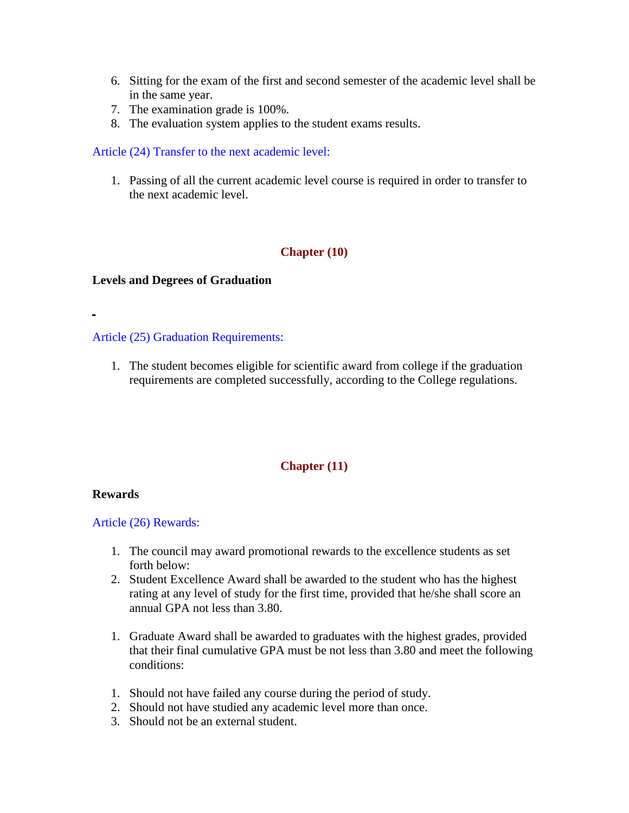- 6. Sitting for the exam of the first and second semester of the academic level shall be in the same year.
- 7. The examination grade is 100%.
- 8. The evaluation system applies to the student exams results.

## Article (24) Transfer to the next academic level:

1. Passing of all the current academic level course is required in order to transfer to the next academic level.

## **Chapter (10)**

#### **Levels and Degrees of Graduation**

#### Article (25) Graduation Requirements:

1. The student becomes eligible for scientific award from college if the graduation requirements are completed successfully, according to the College regulations.

## **Chapter (11)**

#### **Rewards**

#### Article (26) Rewards:

- 1. The council may award promotional rewards to the excellence students as set forth below:
- 2. Student Excellence Award shall be awarded to the student who has the highest rating at any level of study for the first time, provided that he/she shall score an annual GPA not less than 3.80.
- 1. Graduate Award shall be awarded to graduates with the highest grades, provided that their final cumulative GPA must be not less than 3.80 and meet the following conditions:
- 1. Should not have failed any course during the period of study.
- 2. Should not have studied any academic level more than once.
- 3. Should not be an external student.